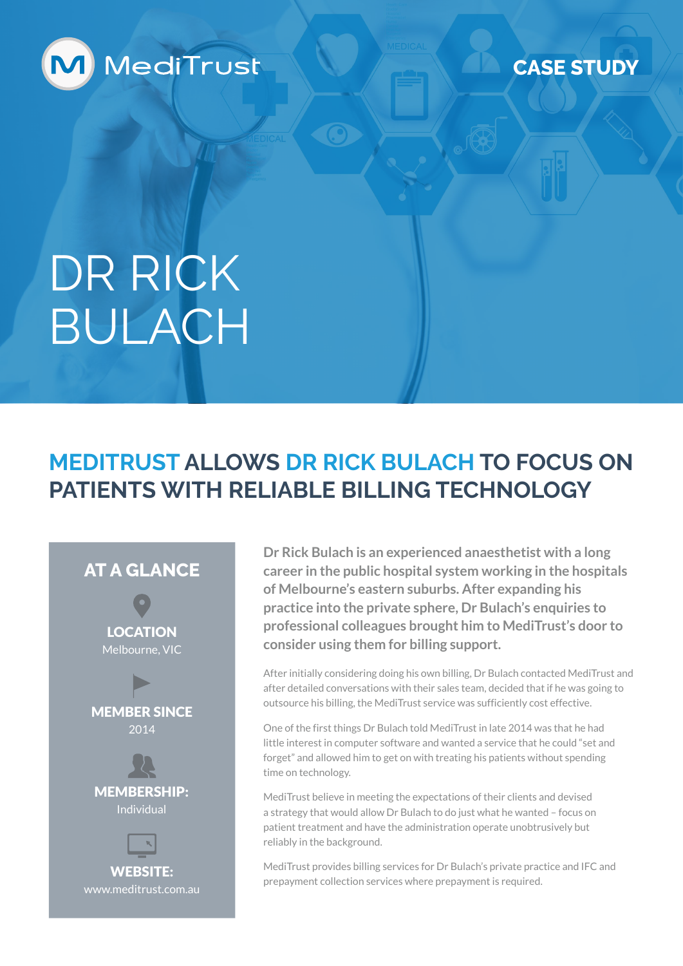

**CASE STUDY**

# DR RICK BULACH

#### **MEDITRUST ALLOWS DR RICK BULACH TO FOCUS ON PATIENTS WITH RELIABLE BILLING TECHNOLOGY**

#### **AT A GLANCE**

**LOCATION** Melbourne, VIC







**Dr Rick Bulach is an experienced anaesthetist with a long career in the public hospital system working in the hospitals of Melbourne's eastern suburbs. After expanding his practice into the private sphere, Dr Bulach's enquiries to professional colleagues brought him to MediTrust's door to consider using them for billing support.**

After initially considering doing his own billing, Dr Bulach contacted MediTrust and after detailed conversations with their sales team, decided that if he was going to outsource his billing, the MediTrust service was sufficiently cost effective.

One of the first things Dr Bulach told MediTrust in late 2014 was that he had little interest in computer software and wanted a service that he could "set and forget" and allowed him to get on with treating his patients without spending time on technology.

MediTrust believe in meeting the expectations of their clients and devised a strategy that would allow Dr Bulach to do just what he wanted – focus on patient treatment and have the administration operate unobtrusively but reliably in the background.

MediTrust provides billing services for Dr Bulach's private practice and IFC and prepayment collection services where prepayment is required.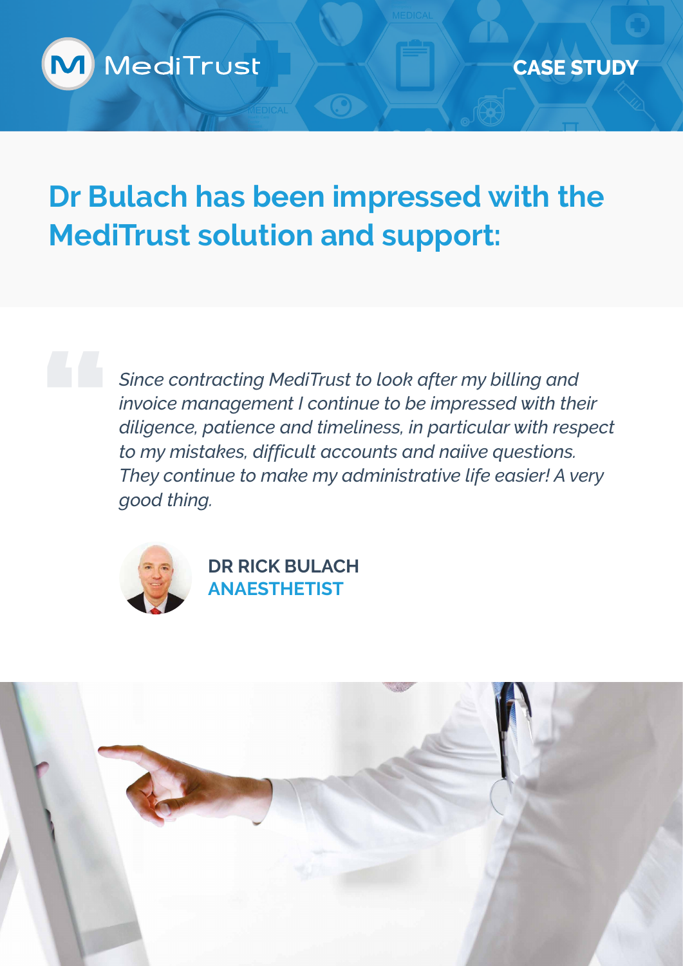

### **Dr Bulach has been impressed with the MediTrust solution and support:**

*Since contracting MediTrust to look after my billing and invoice management I continue to be impressed with their diligence, patience and timeliness, in particular with respect to my mistakes, difficult accounts and naiive questions. They continue to make my administrative life easier! A very good thing.*



**DR RICK BULACH ANAESTHETIST**

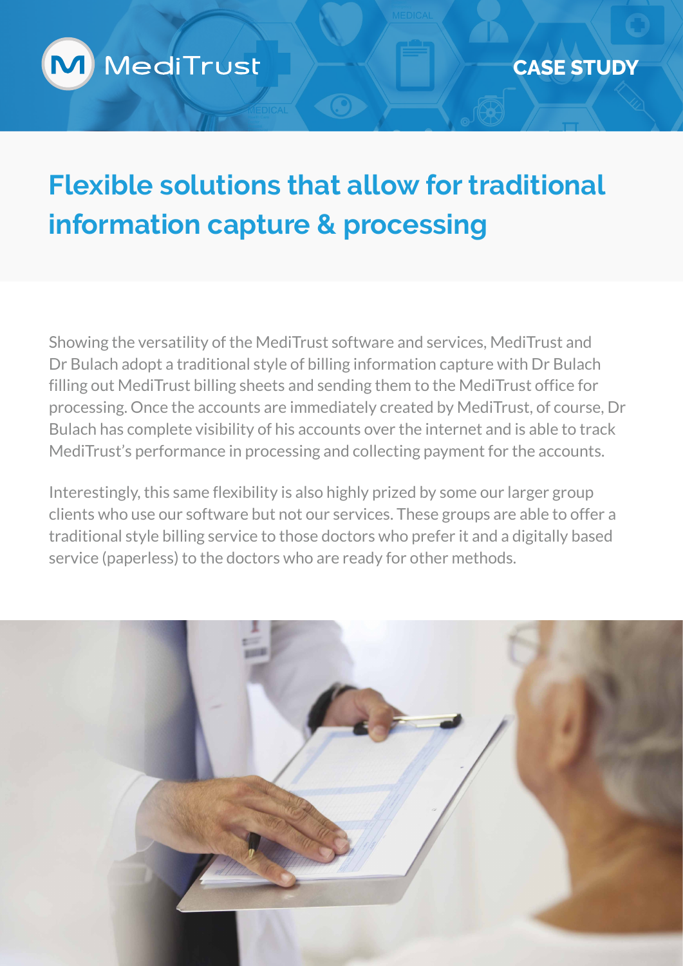

## **Flexible solutions that allow for traditional information capture & processing**

Showing the versatility of the MediTrust software and services, MediTrust and Dr Bulach adopt a traditional style of billing information capture with Dr Bulach filling out MediTrust billing sheets and sending them to the MediTrust office for processing. Once the accounts are immediately created by MediTrust, of course, Dr Bulach has complete visibility of his accounts over the internet and is able to track MediTrust's performance in processing and collecting payment for the accounts.

Interestingly, this same flexibility is also highly prized by some our larger group clients who use our software but not our services. These groups are able to offer a traditional style billing service to those doctors who prefer it and a digitally based service (paperless) to the doctors who are ready for other methods.